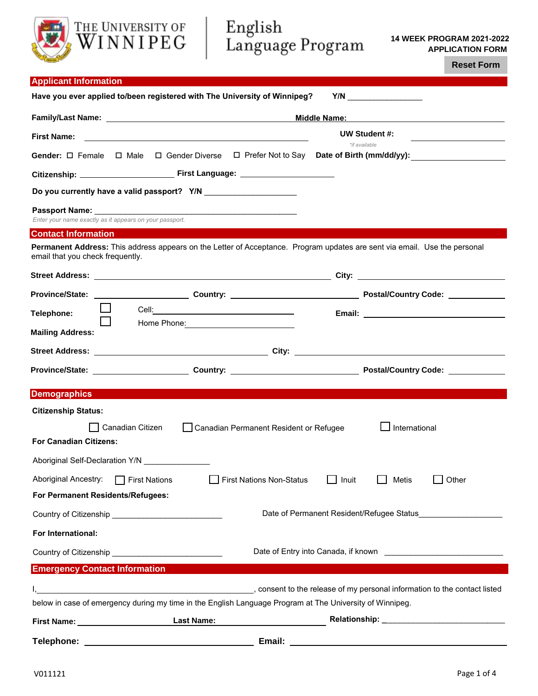# English<br>Language Program

**14 WEEK PROGRAM 2021-2022 APPLICATION FORM** 

**Reset Form**

| <b>Applicant Information</b>                            |                                                                                                                           |                                                                                                                     |  |
|---------------------------------------------------------|---------------------------------------------------------------------------------------------------------------------------|---------------------------------------------------------------------------------------------------------------------|--|
|                                                         | Have you ever applied to/been registered with The University of Winnipeg?                                                 |                                                                                                                     |  |
|                                                         | Middle Name: Middle Name:                                                                                                 |                                                                                                                     |  |
| <b>First Name:</b>                                      | and the control of the control of the control of the control of the control of the control of the control of the          | UW Student #:<br>*if available                                                                                      |  |
|                                                         |                                                                                                                           | Gender: □ Female  □ Male  □ Gender Diverse  □ Prefer Not to Say  Date of Birth (mm/dd/yy):                          |  |
|                                                         |                                                                                                                           |                                                                                                                     |  |
|                                                         |                                                                                                                           |                                                                                                                     |  |
| Enter your name exactly as it appears on your passport. |                                                                                                                           |                                                                                                                     |  |
| <b>Contact Information</b>                              |                                                                                                                           |                                                                                                                     |  |
| email that you check frequently.                        | Permanent Address: This address appears on the Letter of Acceptance. Program updates are sent via email. Use the personal |                                                                                                                     |  |
|                                                         |                                                                                                                           |                                                                                                                     |  |
|                                                         |                                                                                                                           | Province/State: ________________________Country: _________________________________Postal/Country Code: ____________ |  |
| Telephone:                                              |                                                                                                                           |                                                                                                                     |  |
| <b>Mailing Address:</b>                                 | Home Phone: 2008                                                                                                          |                                                                                                                     |  |
|                                                         |                                                                                                                           |                                                                                                                     |  |
|                                                         |                                                                                                                           |                                                                                                                     |  |
| <b>Demographics</b>                                     |                                                                                                                           |                                                                                                                     |  |
| <b>Citizenship Status:</b>                              |                                                                                                                           |                                                                                                                     |  |
|                                                         | Canadian Citizen<br>Canadian Permanent Resident or Refugee                                                                | International                                                                                                       |  |
| <b>For Canadian Citizens:</b>                           |                                                                                                                           |                                                                                                                     |  |
|                                                         |                                                                                                                           |                                                                                                                     |  |
| Aboriginal Ancestry:                                    | First Nations Non-Status<br>$\Box$ First Nations                                                                          | Other<br>Inuit<br>Metis                                                                                             |  |
| For Permanent Residents/Refugees:                       |                                                                                                                           |                                                                                                                     |  |
|                                                         |                                                                                                                           | Date of Permanent Resident/Refugee Status                                                                           |  |
| For International:                                      |                                                                                                                           |                                                                                                                     |  |
|                                                         |                                                                                                                           |                                                                                                                     |  |
| <b>Emergency Contact Information</b>                    |                                                                                                                           |                                                                                                                     |  |
|                                                         |                                                                                                                           | consent to the release of my personal information to the contact listed, product the contact listed                 |  |
|                                                         | below in case of emergency during my time in the English Language Program at The University of Winnipeg.                  |                                                                                                                     |  |
|                                                         | <b>Last Name:</b>                                                                                                         |                                                                                                                     |  |

**Telephone: Email:**

THE UNIVERSITY OF WINNIPEG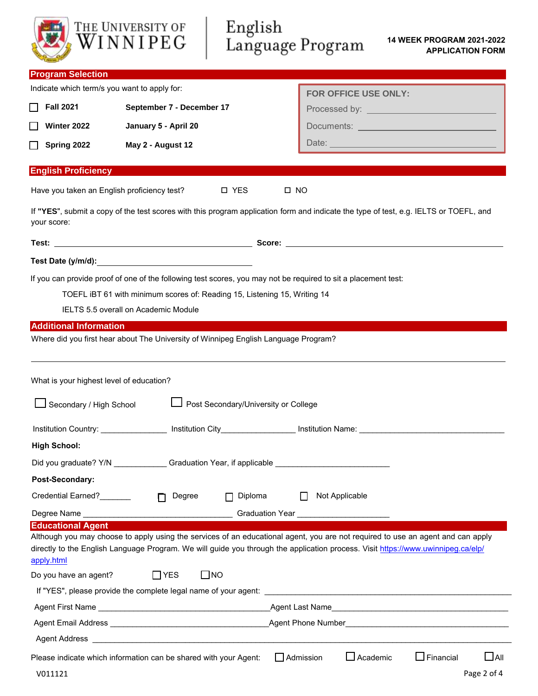|                                              | THE UNIVERSITY OF<br>WINNIPEG                                                                                                                                                               | English<br>Language Program |                                          | 14 WEEK PROGRAM 2021-2022<br><b>APPLICATION FORM</b>                                                                                                                                                                                                                |
|----------------------------------------------|---------------------------------------------------------------------------------------------------------------------------------------------------------------------------------------------|-----------------------------|------------------------------------------|---------------------------------------------------------------------------------------------------------------------------------------------------------------------------------------------------------------------------------------------------------------------|
| <b>Program Selection</b>                     |                                                                                                                                                                                             |                             |                                          |                                                                                                                                                                                                                                                                     |
| Indicate which term/s you want to apply for: |                                                                                                                                                                                             |                             | FOR OFFICE USE ONLY:                     |                                                                                                                                                                                                                                                                     |
| <b>Fall 2021</b>                             | September 7 - December 17                                                                                                                                                                   |                             |                                          | Processed by: <u>____________________________</u>                                                                                                                                                                                                                   |
| Winter 2022                                  | January 5 - April 20                                                                                                                                                                        |                             |                                          |                                                                                                                                                                                                                                                                     |
| Spring 2022                                  | May 2 - August 12                                                                                                                                                                           |                             |                                          |                                                                                                                                                                                                                                                                     |
| <b>English Proficiency</b>                   |                                                                                                                                                                                             |                             |                                          |                                                                                                                                                                                                                                                                     |
| Have you taken an English proficiency test?  |                                                                                                                                                                                             | □ YES                       | $\square$ NO                             |                                                                                                                                                                                                                                                                     |
| your score:                                  |                                                                                                                                                                                             |                             |                                          | If "YES", submit a copy of the test scores with this program application form and indicate the type of test, e.g. IELTS or TOEFL, and                                                                                                                               |
|                                              |                                                                                                                                                                                             |                             |                                          |                                                                                                                                                                                                                                                                     |
|                                              |                                                                                                                                                                                             |                             |                                          |                                                                                                                                                                                                                                                                     |
|                                              | If you can provide proof of one of the following test scores, you may not be required to sit a placement test:<br>TOEFL iBT 61 with minimum scores of: Reading 15, Listening 15, Writing 14 |                             |                                          |                                                                                                                                                                                                                                                                     |
|                                              | IELTS 5.5 overall on Academic Module                                                                                                                                                        |                             |                                          |                                                                                                                                                                                                                                                                     |
| What is your highest level of education?     | Where did you first hear about The University of Winnipeg English Language Program?                                                                                                         |                             |                                          |                                                                                                                                                                                                                                                                     |
|                                              | Secondary / High School   Post Secondary/University or College                                                                                                                              |                             |                                          |                                                                                                                                                                                                                                                                     |
|                                              |                                                                                                                                                                                             |                             |                                          | Institution Country: ________________ Institution City___________________ Institution Name: _________________________                                                                                                                                               |
| <b>High School:</b>                          |                                                                                                                                                                                             |                             |                                          |                                                                                                                                                                                                                                                                     |
|                                              | Did you graduate? Y/N ______________Graduation Year, if applicable ________________________________                                                                                         |                             |                                          |                                                                                                                                                                                                                                                                     |
| Post-Secondary:                              |                                                                                                                                                                                             |                             |                                          |                                                                                                                                                                                                                                                                     |
| Credential Earned?_______                    | Degree<br>$\Box$                                                                                                                                                                            | Diploma                     | Not Applicable                           |                                                                                                                                                                                                                                                                     |
|                                              |                                                                                                                                                                                             |                             | Graduation Year ________________________ |                                                                                                                                                                                                                                                                     |
| <b>Educational Agent</b><br>apply.html       |                                                                                                                                                                                             |                             |                                          | Although you may choose to apply using the services of an educational agent, you are not required to use an agent and can apply<br>directly to the English Language Program. We will guide you through the application process. Visit https://www.uwinnipeg.ca/elp/ |
| Do you have an agent?                        | $\square$ NO<br>$\Box$ YES                                                                                                                                                                  |                             |                                          |                                                                                                                                                                                                                                                                     |
|                                              |                                                                                                                                                                                             |                             |                                          |                                                                                                                                                                                                                                                                     |
|                                              |                                                                                                                                                                                             |                             |                                          |                                                                                                                                                                                                                                                                     |
|                                              |                                                                                                                                                                                             |                             |                                          |                                                                                                                                                                                                                                                                     |
|                                              |                                                                                                                                                                                             |                             |                                          |                                                                                                                                                                                                                                                                     |
| V011121                                      | Please indicate which information can be shared with your Agent:                                                                                                                            |                             | $\Box$ Academic<br>$\Box$ Admission      | $\square$ All<br>$\Box$ Financial<br>Page 2 of 4                                                                                                                                                                                                                    |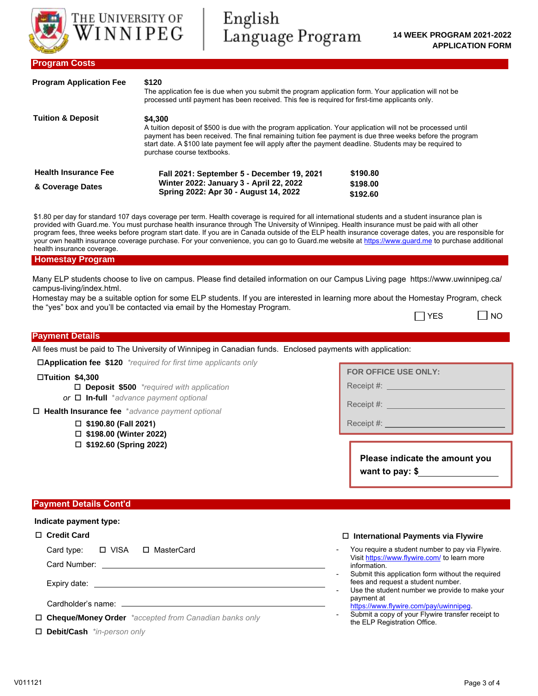

| <b>Program Application Fee</b> | The application fee is due when you submit the program application form. Your application will not be<br>processed until payment has been received. This fee is required for first-time applicants only.                                                                                                                                                                     |          |  |  |
|--------------------------------|------------------------------------------------------------------------------------------------------------------------------------------------------------------------------------------------------------------------------------------------------------------------------------------------------------------------------------------------------------------------------|----------|--|--|
| <b>Tuition &amp; Deposit</b>   | \$4,300<br>A tuition deposit of \$500 is due with the program application. Your application will not be processed until<br>payment has been received. The final remaining tuition fee payment is due three weeks before the program<br>start date. A \$100 late payment fee will apply after the payment deadline. Students may be required to<br>purchase course textbooks. |          |  |  |
| <b>Health Insurance Fee</b>    | Fall 2021: September 5 - December 19, 2021                                                                                                                                                                                                                                                                                                                                   | \$190.80 |  |  |
| & Coverage Dates               | Winter 2022: January 3 - April 22, 2022<br>Spring 2022: Apr 30 - August 14, 2022                                                                                                                                                                                                                                                                                             | \$198.00 |  |  |
|                                |                                                                                                                                                                                                                                                                                                                                                                              | \$192.60 |  |  |

\$1.80 per day for standard 107 days coverage per term. Health coverage is required for all international students and a student insurance plan is provided with Guard.me. You must purchase health insurance through The University of Winnipeg. Health insurance must be paid with all other program fees, three weeks before program start date. If you are in Canada outside of the ELP health insurance coverage dates, you are responsible for your own health insurance coverage purchase. For your convenience, you can go to Guard.me website at https://www.guard.me to purchase additional health insurance coverage.

#### **Homestay Program**

Many ELP students choose to live on campus. Please find detailed information on our Campus Living page https://www.uwinnipeg.ca/ campus-living/index.html.

Homestay may be a suitable option for some ELP students. If you are interested in learning more about the Homestay Program, check the "yes" box and you'll be contacted via email by the Homestay Program.

| l YES | I NO |  |
|-------|------|--|
|-------|------|--|

# **Payment Details**

All fees must be paid to The University of Winnipeg in Canadian funds. Enclosed payments with application:

**Application fee \$120** *\*required for first time applicants only*

#### **Tuition \$4,300**

**Deposit \$500** *\*required with application*

*or* **In-full** \**advance payment optional*

**Health Insurance fee** \**advance payment optional*

- **\$190.80 (Fall 2021)**
- **\$198.00 (Winter 2022)**
- **\$192.60 (Spring 2022)**

**FOR OFFICE USE ONLY:**

Receipt #: **William** 

Receipt #: \\contact \\contact \\contact \\contact \\contact \\contact \\contact \\contact \\contact \\contact \\contact \\contact \\contact \\contact \\contact \\contact \\contact \\contact \\contact \\contact \\contact \

Receipt #:

**Please indicate the amount you want to pay: \$**

#### **Payment Details Cont'd**

### **Indicate payment type:**

# **Credit Card**

Card type:  $\Box$  VISA  $\Box$  MasterCard

Card Number:

Expiry date:

Cardholder's name: \_\_

**Cheque/Money Order** *\*accepted from Canadian banks only* 

**Debit/Cash** *\*in-person only*

#### **International Payments via Flywire**

- You require a student number to pay via Flywire. Visit https://www.flywire.com/ to learn more information.
- Submit this application form without the required fees and request a student number.
- Use the student number we provide to make your payment at https://www.flywire.com/pay/uwinnipeg.
- Submit a copy of your Flywire transfer receipt to the ELP Registration Office.